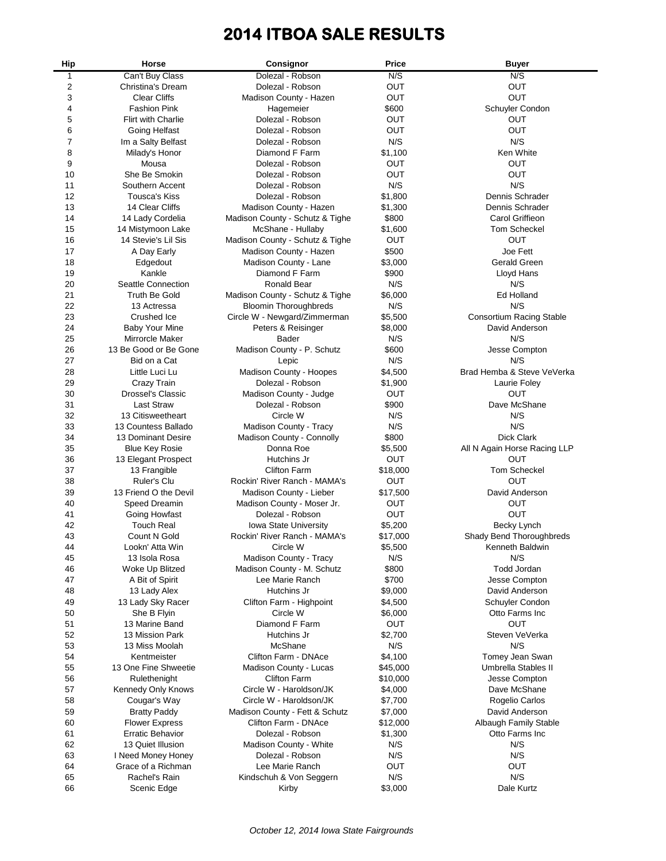# **2014 ITBOA SALE RESULTS**

| Hip      | Horse                               | Consignor                                      | Price               | <b>Buyer</b>                           |
|----------|-------------------------------------|------------------------------------------------|---------------------|----------------------------------------|
| 1        | Can't Buy Class                     | Dolezal - Robson                               | N/S                 | N/S                                    |
| 2        | Christina's Dream                   | Dolezal - Robson                               | OUT                 | OUT                                    |
| 3        | <b>Clear Cliffs</b>                 | Madison County - Hazen                         | OUT                 | OUT                                    |
| 4        | <b>Fashion Pink</b>                 | Hagemeier                                      | \$600               | Schuyler Condon                        |
| 5        | <b>Flirt with Charlie</b>           | Dolezal - Robson                               | OUT                 | <b>OUT</b>                             |
| 6        | Going Helfast                       | Dolezal - Robson                               | OUT                 | OUT                                    |
| 7        | Im a Salty Belfast                  | Dolezal - Robson                               | N/S                 | N/S                                    |
| 8        | Milady's Honor                      | Diamond F Farm                                 | \$1,100             | Ken White                              |
| 9        | Mousa                               | Dolezal - Robson                               | OUT                 | OUT                                    |
| 10       | She Be Smokin                       | Dolezal - Robson                               | OUT                 | OUT                                    |
| 11       | Southern Accent                     | Dolezal - Robson                               | N/S                 | N/S                                    |
| 12       | <b>Tousca's Kiss</b>                | Dolezal - Robson                               | \$1,800             | Dennis Schrader                        |
| 13       | 14 Clear Cliffs                     | Madison County - Hazen                         | \$1,300             | Dennis Schrader                        |
| 14       | 14 Lady Cordelia                    | Madison County - Schutz & Tighe                | \$800               | Carol Griffieon                        |
| 15       | 14 Mistymoon Lake                   | McShane - Hullaby                              | \$1,600             | <b>Tom Scheckel</b>                    |
| 16       | 14 Stevie's Lil Sis                 | Madison County - Schutz & Tighe                | OUT                 | <b>OUT</b>                             |
| 17       | A Day Early                         | Madison County - Hazen                         | \$500               | Joe Fett                               |
| 18       | Edgedout                            | Madison County - Lane                          | \$3,000             | <b>Gerald Green</b>                    |
| 19<br>20 | Kankle<br>Seattle Connection        | Diamond F Farm<br>Ronald Bear                  | \$900<br>N/S        | Lloyd Hans<br>N/S                      |
| 21       | <b>Truth Be Gold</b>                | Madison County - Schutz & Tighe                | \$6,000             | Ed Holland                             |
| 22       | 13 Actressa                         | <b>Bloomin Thoroughbreds</b>                   | N/S                 | N/S                                    |
| 23       | Crushed Ice                         | Circle W - Newgard/Zimmerman                   | \$5,500             | <b>Consortium Racing Stable</b>        |
| 24       | <b>Baby Your Mine</b>               | Peters & Reisinger                             | \$8,000             | David Anderson                         |
| 25       | <b>Mirrorcle Maker</b>              | Bader                                          | N/S                 | N/S                                    |
| 26       | 13 Be Good or Be Gone               | Madison County - P. Schutz                     | \$600               | Jesse Compton                          |
| 27       | Bid on a Cat                        | Lepic                                          | N/S                 | N/S                                    |
| 28       | Little Luci Lu                      | Madison County - Hoopes                        | \$4,500             | Brad Hemba & Steve VeVerka             |
| 29       | <b>Crazy Train</b>                  | Dolezal - Robson                               | \$1,900             | Laurie Foley                           |
| 30       | <b>Drossel's Classic</b>            | Madison County - Judge                         | OUT                 | OUT                                    |
| 31       | <b>Last Straw</b>                   | Dolezal - Robson                               | \$900               | Dave McShane                           |
| 32       | 13 Citisweetheart                   | Circle W                                       | N/S                 | N/S                                    |
| 33       | 13 Countess Ballado                 | Madison County - Tracy                         | N/S                 | N/S                                    |
| 34       | 13 Dominant Desire                  | Madison County - Connolly                      | \$800               | Dick Clark                             |
| 35       | <b>Blue Key Rosie</b>               | Donna Roe                                      | \$5,500             | All N Again Horse Racing LLP           |
| 36       | 13 Elegant Prospect                 | Hutchins Jr                                    | OUT                 | OUT                                    |
| 37       | 13 Frangible                        | <b>Clifton Farm</b>                            | \$18,000            | <b>Tom Scheckel</b>                    |
| 38       | Ruler's Clu                         | Rockin' River Ranch - MAMA's                   | OUT                 | OUT                                    |
| 39       | 13 Friend O the Devil               | Madison County - Lieber                        | \$17,500            | David Anderson                         |
| 40       | Speed Dreamin                       | Madison County - Moser Jr.                     | OUT                 | OUT                                    |
| 41       | Going Howfast                       | Dolezal - Robson                               | OUT                 | <b>OUT</b>                             |
| 42       | <b>Touch Real</b>                   | <b>Iowa State University</b>                   | \$5,200             | Becky Lynch                            |
| 43       | Count N Gold                        | Rockin' River Ranch - MAMA's                   | \$17,000            | Shady Bend Thoroughbreds               |
| 44       | Lookn' Atta Win                     | Circle W                                       | \$5,500             | Kenneth Baldwin                        |
| 45       | 13 Isola Rosa                       | Madison County - Tracy                         | N/S                 | N/S                                    |
| 46       | Woke Up Blitzed                     | Madison County - M. Schutz                     | \$800               | Todd Jordan                            |
| 47       | A Bit of Spirit                     | Lee Marie Ranch                                | \$700               | Jesse Compton                          |
| 48       | 13 Lady Alex                        | Hutchins Jr                                    | \$9,000             | David Anderson                         |
| 49       | 13 Lady Sky Racer                   | Clifton Farm - Highpoint                       | \$4,500             | Schuyler Condon                        |
| 50       | She B Flyin                         | Circle W                                       | \$6,000             | Otto Farms Inc                         |
| 51       | 13 Marine Band                      | Diamond F Farm                                 | <b>OUT</b>          | <b>OUT</b>                             |
| 52       | 13 Mission Park                     | Hutchins Jr                                    | \$2,700             | Steven VeVerka                         |
| 53       | 13 Miss Moolah                      | McShane                                        | N/S                 | N/S                                    |
| 54<br>55 | Kentmeister<br>13 One Fine Shweetie | Clifton Farm - DNAce<br>Madison County - Lucas | \$4,100<br>\$45,000 | Tomey Jean Swan<br>Umbrella Stables II |
| 56       | Rulethenight                        | <b>Clifton Farm</b>                            | \$10,000            | Jesse Compton                          |
| 57       | Kennedy Only Knows                  | Circle W - Haroldson/JK                        | \$4,000             | Dave McShane                           |
| 58       | Cougar's Way                        | Circle W - Haroldson/JK                        | \$7,700             | Rogelio Carlos                         |
| 59       | <b>Bratty Paddy</b>                 | Madison County - Fett & Schutz                 | \$7,000             | David Anderson                         |
| 60       | <b>Flower Express</b>               | Clifton Farm - DNAce                           | \$12,000            | Albaugh Family Stable                  |
| 61       | <b>Erratic Behavior</b>             | Dolezal - Robson                               | \$1,300             | Otto Farms Inc                         |
| 62       | 13 Quiet Illusion                   | Madison County - White                         | N/S                 | N/S                                    |
| 63       | I Need Money Honey                  | Dolezal - Robson                               | N/S                 | N/S                                    |
| 64       | Grace of a Richman                  | Lee Marie Ranch                                | <b>OUT</b>          | <b>OUT</b>                             |
| 65       | Rachel's Rain                       | Kindschuh & Von Seggern                        | N/S                 | N/S                                    |
| 66       | Scenic Edge                         | Kirby                                          | \$3,000             | Dale Kurtz                             |
|          |                                     |                                                |                     |                                        |